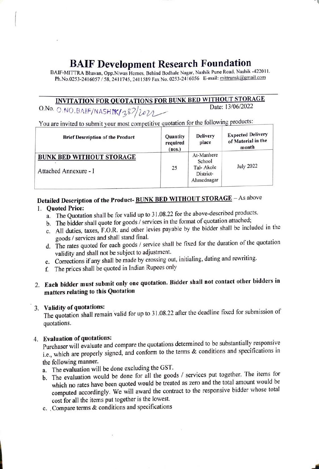# BAIF Development Research Foundation<br>BAIF-MITTRA Bhavan, Opp.Niwas Homes, Behind Bodhale Nagar, Nashik Pune Road, Nashik -422011.

Ph.No.0253-2416057/58, 2411745, 2411589 Fax No. 0253-2416056 E-mail: mitransk@gmail.com

## INVITATION FOR QUOTATIONS FOR BUNK BED WITHOUT STORAGE

O.No. O.NO.BAIF/NASHIK/387/2022

You are invited to submit your most competitive quotation for the following products:

| <b>Brief Description of the Product</b>                  | Quantity<br>required<br>(nos.) | <b>Delivery</b><br>place                                     | <b>Expected Delivery</b><br>of Material in the<br>month |  |
|----------------------------------------------------------|--------------------------------|--------------------------------------------------------------|---------------------------------------------------------|--|
| <b>BUNK BED WITHOUT STORAGE</b><br>Attached Annexure - I | 25                             | At-Manhere<br>School<br>Tal-Akole<br>District-<br>Ahmednagar | July 2022                                               |  |

### Detailed Description of the Product-BUNK BED WITHOUT STORAGE - As above

#### 1. Quoted Price:

- a. The Quotation shall be for valid up to 31.08.22 for the above-described products.
- b. The bidder shall quote for goods / services in the format of quotation attached;
- C. All duties, taxes, F.O.R. and other levies payable by the bidder shall be included in the goods/ services and shall stand final.
- d. The rates quoted for each goods / service shall be fixed for the duration of the quotation validity and shall not be subject to adjustment.
- e. Corrections if any shall be made by crossing out, initialing, dating and rewriting.
- f. The prices shall be quoted in Indian Rupees only

#### 2. Each bidder must submit only one quotation. Bidder shall not contact other bidders in matters relating to this Quotation

#### 3. Validity of quotations:

The quotation shall remain valid for up to 31.08.22 after the deadline fixed for submission of quotations.

4. Evaluation of quotations: Purchaser will evaluate and compare the quotations determined to be substantially responsive i.e., which are properly signed, and conform to the terms & conditions and specifications in the following manner.

a. The evaluation will be done excluding the GST.

- b. The evaluation would be done for all the goods / services put together. The items for which no rates have been quoted would be treated as zero and the total amount would be computed accordingly. We will award the contract to the responsive bidder whose total cost for all the items put together is the lowest.
- c. Compare terms  $\&$  conditions and specifications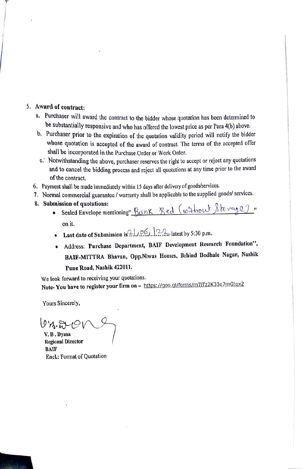#### 5. Award of contract:

- a. Purchaser will award the contract to the bidder whose quotation has been determined to be substantially responsive and who has offered the lowest price as per Para 4(6) above.
- b. Purchaser prior to the expiration of the quotation validity period will notify the bidder whose quotation is accepted of the award of contract. The terms of the accepted offer shall be incorporated in the Purchase Order or Work Order.
- c. Notwithstanding the above, purchaser reserves the right to accept or reject any quotations and to cancel the bidding process and reject all quotations at any time prior to the award of the contract.
- 6. Payment shall be made immediately within 15 days after delivery of goods/services.
- 7. Normal commercial guarantee/ warranty shall be applicable to the supplied goods/ services.
- 8. Submission of quotations:
	- · Sealed Envelope mentioning" Bank Bed (without Storage). on it.
	- Last date of Submission is  $21/06$ ,  $22$  latest by 5:30 p.m.
	- Address: Purchase Department, BAIF Development Research Foundation'", BAIF-MITTRA Bhavan, Opp.Niwas Homes, Behind Bodhale Nagar, Nashik Pune Road, Nashik 422011.

We look forward to receiving your quotations. Note- You have to register your firm on - https://goo.gl/forms/m7lTz2K33q7mGtqx2

Yours Sincerely,

 $07.5191$ 

V.B.Dyasa Regional Director BAIF Encl.: Format of Quotation